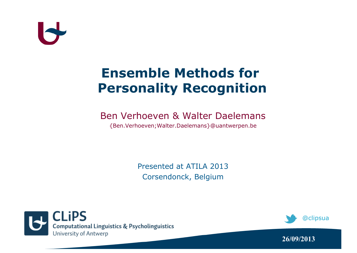#### **Ensemble Methods for Personality Recognition**

#### Ben Verhoeven & Walter Daelemans

{Ben.Verhoeven;Walter.Daelemans}@uantwerpen.be

Presented at ATILA 2013 Corsendonck, Belgium





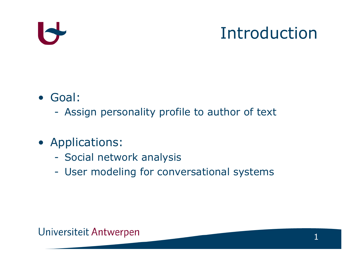## Introduction

- Goal:
	- Assign personality profile to author of text
- Applications:
	- Social network analysis
	- User modeling for conversational systems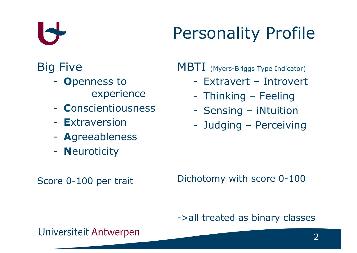

## Personality Profile

#### Big Five

- **O**penness to experience
- **C**onscientiousness
- **E**xtraversion
- **A**greeableness
- **N**euroticity

MBTI (Myers-Briggs Type Indicator)

- Extravert Introvert
- Thinking Feeling
- Sensing iNtuition
- Judging Perceiving

Score 0-100 per trait

Dichotomy with score 0-100

#### ->all treated as binary classes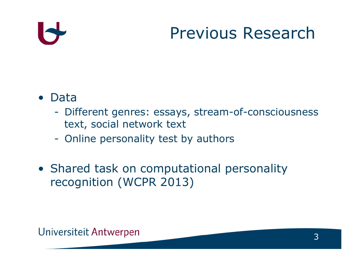## Previous Research

#### • Data

- Different genres: essays, stream-of-consciousness text, social network text
- Online personality test by authors
- Shared task on computational personality recognition (WCPR 2013)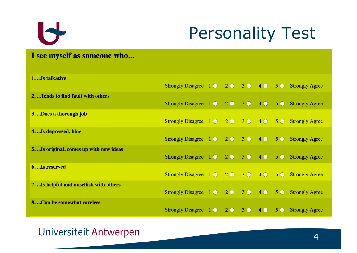

## Personality Test

#### I see myself as someone who...

| 1. Is talkative                         |                                                                                      |             |                |  |                        |
|-----------------------------------------|--------------------------------------------------------------------------------------|-------------|----------------|--|------------------------|
|                                         | Strongly Disagree $1 \bullet 2 \bullet 3 \bullet 4 \bullet 5 \bullet$ Strongly Agree |             |                |  |                        |
| 2. Tends to find fault with others      |                                                                                      |             |                |  |                        |
|                                         | Strongly Disagree $1 \bullet 2 \bullet 3 \bullet 4 \bullet 5 \bullet$ Strongly Agree |             |                |  |                        |
| 3. Does a thorough job                  |                                                                                      |             |                |  |                        |
|                                         | Strongly Disagree 1 0 2 0 3 0 4 0 5 0 Strongly Agree                                 |             |                |  |                        |
| 4. Is depressed, blue                   |                                                                                      |             |                |  |                        |
|                                         | Strongly Disagree $1 \bullet 2 \bullet 3 \bullet 4 \bullet 5 \bullet$ Strongly Agree |             |                |  |                        |
| 5. Is original, comes up with new ideas |                                                                                      |             |                |  |                        |
|                                         | Strongly Disagree $1 \bullet 2 \bullet 3 \bullet 4 \bullet 5 \bullet$ Strongly Agree |             |                |  |                        |
| 6. Is reserved                          |                                                                                      |             |                |  |                        |
|                                         | Strongly Disagree 1 0 2 0 3 0 4 0 5 0 Strongly Agree                                 |             |                |  |                        |
| 7. Is helpful and unselfish with others |                                                                                      |             |                |  |                        |
|                                         | Strongly Disagree $1 \bullet 2 \bullet 3 \bullet 4 \bullet 5 \bullet$ Strongly Agree |             |                |  |                        |
| 8. Can be somewhat careless             |                                                                                      |             |                |  |                        |
|                                         | Strongly Disagree $1 \odot$                                                          | $2^{\circ}$ | 3 <sup>o</sup> |  | 4 6 5 6 Strongly Agree |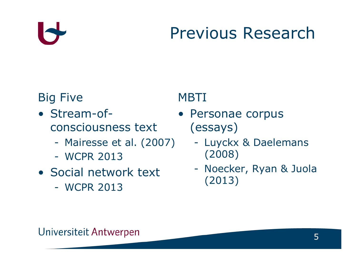## Previous Research

#### Big Five

- Stream-ofconsciousness text
	- Mairesse et al. (2007)
	- WCPR 2013
- Social network text
	- WCPR 2013

#### **MBTI**

- Personae corpus (essays)
	- Luyckx & Daelemans (2008)
	- Noecker, Ryan & Juola (2013)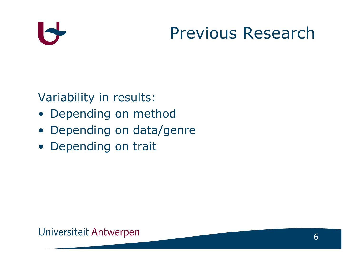### Previous Research

Variability in results:

- Depending on method
- Depending on data/genre
- Depending on trait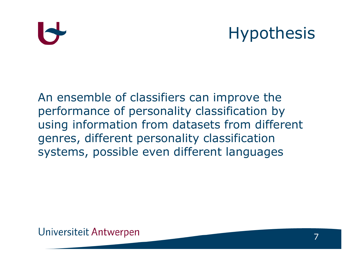## Hypothesis

An ensemble of classifiers can improve the performance of personality classification by using information from datasets from different genres, different personality classification systems, possible even different languages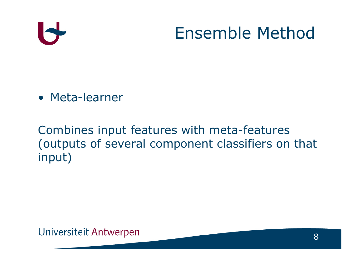

### Ensemble Method

• Meta-learner

Combines input features with meta-features (outputs of several component classifiers on that input)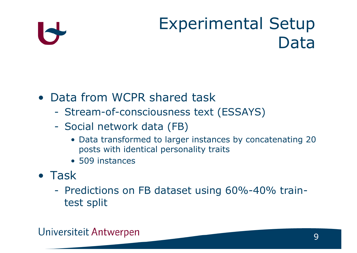## Experimental Setup Data

#### • Data from WCPR shared task

- Stream-of-consciousness text (ESSAYS)
- Social network data (FB)
	- Data transformed to larger instances by concatenating 20 posts with identical personality traits
	- 509 instances
- Task
	- Predictions on FB dataset using 60%-40% traintest split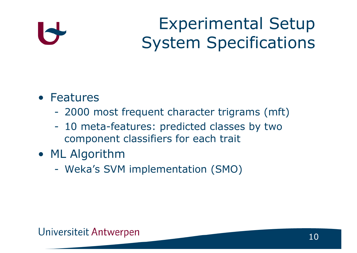Experimental Setup System Specifications

#### • Features

- 2000 most frequent character trigrams (mft)
- 10 meta-features: predicted classes by two component classifiers for each trait
- ML Algorithm
	- Weka's SVM implementation (SMO)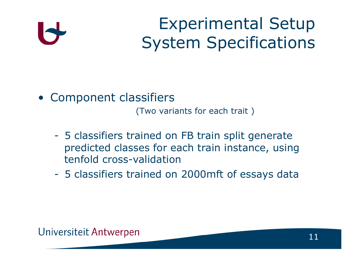Experimental Setup System Specifications

• Component classifiers

(Two variants for each trait )

- 5 classifiers trained on FB train split generate predicted classes for each train instance, using tenfold cross-validation
- 5 classifiers trained on 2000mft of essays data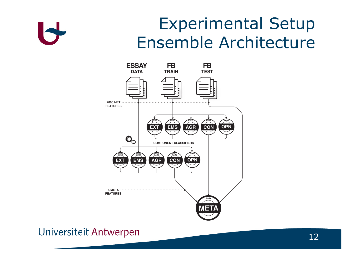

### Experimental Setup Ensemble Architecture

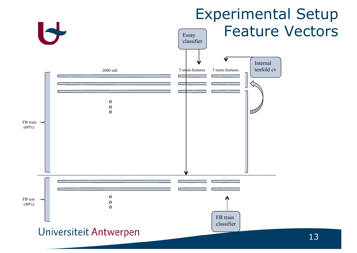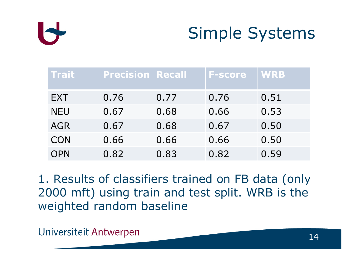

## Simple Systems

| Trait      | <b>Precision   Recall</b> |      | <b>F-score</b> | <b>WRB</b> |
|------------|---------------------------|------|----------------|------------|
| <b>EXT</b> | 0.76                      | 0.77 | 0.76           | 0.51       |
| <b>NEU</b> | 0.67                      | 0.68 | 0.66           | 0.53       |
| <b>AGR</b> | 0.67                      | 0.68 | 0.67           | 0.50       |
| <b>CON</b> | 0.66                      | 0.66 | 0.66           | 0.50       |
| <b>OPN</b> | 0.82                      | 0.83 | 0.82           | 0.59       |

1. Results of classifiers trained on FB data (only 2000 mft) using train and test split. WRB is the weighted random baseline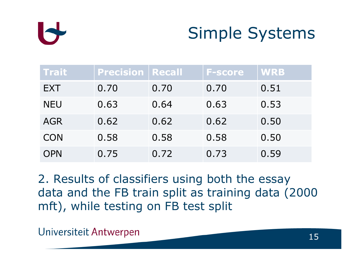

### Simple Systems

| Trait      | <b>Precision   Recall</b> |      | <b>F-score</b> | <b>WRB</b> |
|------------|---------------------------|------|----------------|------------|
| <b>EXT</b> | 0.70                      | 0.70 | 0.70           | 0.51       |
| <b>NEU</b> | 0.63                      | 0.64 | 0.63           | 0.53       |
| <b>AGR</b> | 0.62                      | 0.62 | 0.62           | 0.50       |
| <b>CON</b> | 0.58                      | 0.58 | 0.58           | 0.50       |
| <b>OPN</b> | 0.75                      | 0.72 | 0.73           | 0.59       |

2. Results of classifiers using both the essay data and the FB train split as training data (2000 mft), while testing on FB test split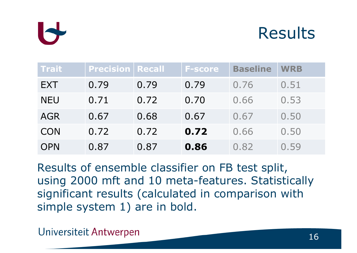

#### Results

| <b>Trait</b> | <b>Precision   Recall</b> |      | <b>F-score</b> | <b>Baseline</b> | <b>WRB</b> |
|--------------|---------------------------|------|----------------|-----------------|------------|
| <b>EXT</b>   | 0.79                      | 0.79 | 0.79           | 0.76            | 0.51       |
| <b>NEU</b>   | 0.71                      | 0.72 | 0.70           | 0.66            | 0.53       |
| <b>AGR</b>   | 0.67                      | 0.68 | 0.67           | 0.67            | 0.50       |
| <b>CON</b>   | 0.72                      | 0.72 | 0.72           | 0.66            | 0.50       |
| <b>OPN</b>   | 0.87                      | 0.87 | 0.86           | 0.82            | 0.59       |

Results of ensemble classifier on FB test split, using 2000 mft and 10 meta-features. Statistically significant results (calculated in comparison with simple system 1) are in bold.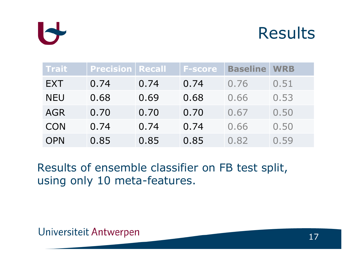

#### Results

| <b>Trait</b> | <b>Precision Recall</b> |      | <b>F-score</b> | <b>Baseline</b> | <b>WRB</b> |
|--------------|-------------------------|------|----------------|-----------------|------------|
| EXT          | 0.74                    | 0.74 | 0.74           | 0.76            | 0.51       |
| <b>NEU</b>   | 0.68                    | 0.69 | 0.68           | 0.66            | 0.53       |
| <b>AGR</b>   | 0.70                    | 0.70 | 0.70           | 0.67            | 0.50       |
| <b>CON</b>   | 0.74                    | 0.74 | 0.74           | 0.66            | 0.50       |
| <b>OPN</b>   | 0.85                    | 0.85 | 0.85           | 0.82            | 0.59       |

Results of ensemble classifier on FB test split, using only 10 meta-features.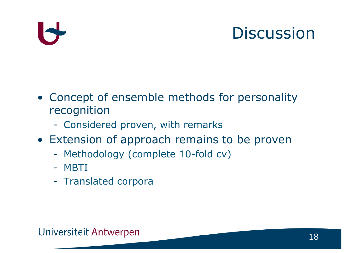## **Discussion**

- Concept of ensemble methods for personality recognition
	- Considered proven, with remarks
- Extension of approach remains to be proven
	- Methodology (complete 10-fold cv)
	- MBTI
	- Translated corpora